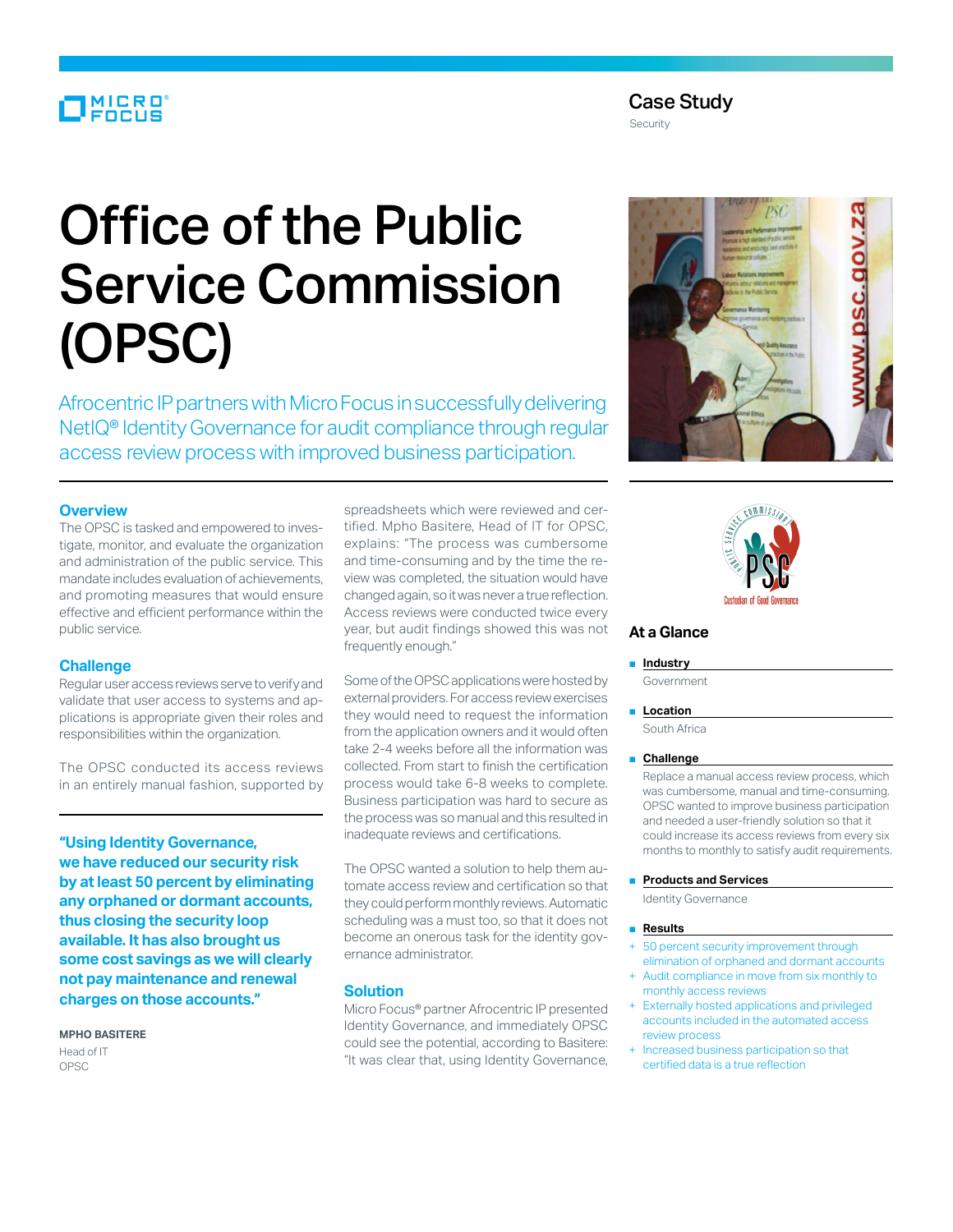# MICRO<sup>®</sup><br>FOCUS

# Office of the Public Service Commission (OPSC)

Afrocentric IP partners with Micro Focus in successfully delivering NetIQ® Identity Governance for audit compliance through regular access review process with improved business participation.

#### **Overview**

The OPSC is tasked and empowered to investigate, monitor, and evaluate the organization and administration of the public service. This mandate includes evaluation of achievements, and promoting measures that would ensure effective and efficient performance within the public service.

#### **Challenge**

Regular user access reviews serve to verify and validate that user access to systems and applications is appropriate given their roles and responsibilities within the organization.

The OPSC conducted its access reviews in an entirely manual fashion, supported by

**"Using Identity Governance, we have reduced our security risk by at least 50 percent by eliminating any orphaned or dormant accounts, thus closing the security loop available. It has also brought us some cost savings as we will clearly not pay maintenance and renewal charges on those accounts."**

# **Mpho Basitere**

Head of IT OPSC

spreadsheets which were reviewed and certified. Mpho Basitere, Head of IT for OPSC, explains: "The process was cumbersome and time-consuming and by the time the review was completed, the situation would have changed again, so it was never a true reflection. Access reviews were conducted twice every year, but audit findings showed this was not frequently enough."

Some of the OPSC applications were hosted by external providers. For access review exercises they would need to request the information from the application owners and it would often take 2-4 weeks before all the information was collected. From start to finish the certification process would take 6-8 weeks to complete. Business participation was hard to secure as the process was so manual and this resulted in inadequate reviews and certifications.

The OPSC wanted a solution to help them automate access review and certification so that they could perform monthly reviews. Automatic scheduling was a must too, so that it does not become an onerous task for the identity governance administrator.

### **Solution**

Micro Focus® partner Afrocentric IP presented Identity Governance, and immediately OPSC could see the potential, according to Basitere: "It was clear that, using Identity Governance,





# **At a Glance**

#### ■ **Industry**

Government

## ■ **Location**

South Africa

#### ■ **Challenge**

Replace a manual access review process, which was cumbersome, manual and time-consuming. OPSC wanted to improve business participation and needed a user-friendly solution so that it could increase its access reviews from every six months to monthly to satisfy audit requirements.

■ **Products and Services**

Identity Governance

#### ■ **Results**

- 50 percent security improvement through elimination of orphaned and dormant accounts
- + Audit compliance in move from six monthly to monthly access reviews
- Externally hosted applications and privileged accounts included in the automated access review process
- Increased business participation so that certified data is a true reflection